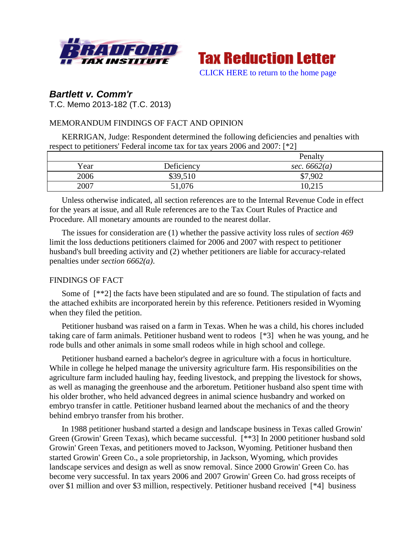



# *Bartlett v. Comm'r*

T.C. Memo 2013-182 (T.C. 2013)

## MEMORANDUM FINDINGS OF FACT AND OPINION

KERRIGAN, Judge: Respondent determined the following deficiencies and penalties with respect to petitioners' Federal income tax for tax years 2006 and 2007: [\*2]

|      |            | Penalty        |
|------|------------|----------------|
| Year | Deficiency | sec. $6662(a)$ |
| 2006 | \$39,510   | \$7,902        |
| 2007 | 51,076     | 10,215         |

Unless otherwise indicated, all section references are to the Internal Revenue Code in effect for the years at issue, and all Rule references are to the Tax Court Rules of Practice and Procedure. All monetary amounts are rounded to the nearest dollar.

The issues for consideration are (1) whether the passive activity loss rules of *section 469* limit the loss deductions petitioners claimed for 2006 and 2007 with respect to petitioner husband's bull breeding activity and (2) whether petitioners are liable for accuracy-related penalties under *section 6662(a)*.

## FINDINGS OF FACT

Some of  $[^{**}2]$  the facts have been stipulated and are so found. The stipulation of facts and the attached exhibits are incorporated herein by this reference. Petitioners resided in Wyoming when they filed the petition.

Petitioner husband was raised on a farm in Texas. When he was a child, his chores included taking care of farm animals. Petitioner husband went to rodeos [\*3] when he was young, and he rode bulls and other animals in some small rodeos while in high school and college.

Petitioner husband earned a bachelor's degree in agriculture with a focus in horticulture. While in college he helped manage the university agriculture farm. His responsibilities on the agriculture farm included hauling hay, feeding livestock, and prepping the livestock for shows, as well as managing the greenhouse and the arboretum. Petitioner husband also spent time with his older brother, who held advanced degrees in animal science husbandry and worked on embryo transfer in cattle. Petitioner husband learned about the mechanics of and the theory behind embryo transfer from his brother.

In 1988 petitioner husband started a design and landscape business in Texas called Growin' Green (Growin' Green Texas), which became successful. [\*\*3] In 2000 petitioner husband sold Growin' Green Texas, and petitioners moved to Jackson, Wyoming. Petitioner husband then started Growin' Green Co., a sole proprietorship, in Jackson, Wyoming, which provides landscape services and design as well as snow removal. Since 2000 Growin' Green Co. has become very successful. In tax years 2006 and 2007 Growin' Green Co. had gross receipts of over \$1 million and over \$3 million, respectively. Petitioner husband received [\*4] business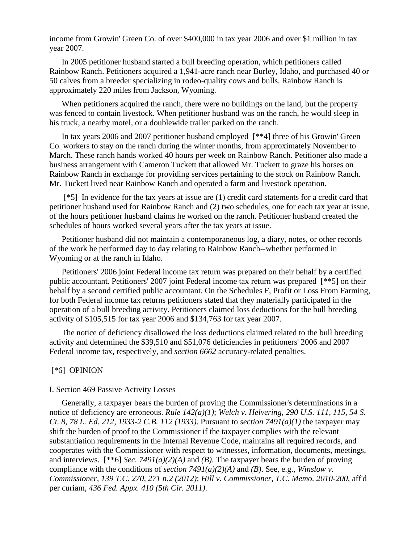income from Growin' Green Co. of over \$400,000 in tax year 2006 and over \$1 million in tax year 2007.

In 2005 petitioner husband started a bull breeding operation, which petitioners called Rainbow Ranch. Petitioners acquired a 1,941-acre ranch near Burley, Idaho, and purchased 40 or 50 calves from a breeder specializing in rodeo-quality cows and bulls. Rainbow Ranch is approximately 220 miles from Jackson, Wyoming.

When petitioners acquired the ranch, there were no buildings on the land, but the property was fenced to contain livestock. When petitioner husband was on the ranch, he would sleep in his truck, a nearby motel, or a doublewide trailer parked on the ranch.

In tax years 2006 and 2007 petitioner husband employed [\*\*4] three of his Growin' Green Co. workers to stay on the ranch during the winter months, from approximately November to March. These ranch hands worked 40 hours per week on Rainbow Ranch. Petitioner also made a business arrangement with Cameron Tuckett that allowed Mr. Tuckett to graze his horses on Rainbow Ranch in exchange for providing services pertaining to the stock on Rainbow Ranch. Mr. Tuckett lived near Rainbow Ranch and operated a farm and livestock operation.

[\*5] In evidence for the tax years at issue are (1) credit card statements for a credit card that petitioner husband used for Rainbow Ranch and (2) two schedules, one for each tax year at issue, of the hours petitioner husband claims he worked on the ranch. Petitioner husband created the schedules of hours worked several years after the tax years at issue.

Petitioner husband did not maintain a contemporaneous log, a diary, notes, or other records of the work he performed day to day relating to Rainbow Ranch--whether performed in Wyoming or at the ranch in Idaho.

Petitioners' 2006 joint Federal income tax return was prepared on their behalf by a certified public accountant. Petitioners' 2007 joint Federal income tax return was prepared [\*\*5] on their behalf by a second certified public accountant. On the Schedules F, Profit or Loss From Farming, for both Federal income tax returns petitioners stated that they materially participated in the operation of a bull breeding activity. Petitioners claimed loss deductions for the bull breeding activity of \$105,515 for tax year 2006 and \$134,763 for tax year 2007.

The notice of deficiency disallowed the loss deductions claimed related to the bull breeding activity and determined the \$39,510 and \$51,076 deficiencies in petitioners' 2006 and 2007 Federal income tax, respectively, and *section 6662* accuracy-related penalties.

### [\*6] OPINION

#### I. Section 469 Passive Activity Losses

Generally, a taxpayer bears the burden of proving the Commissioner's determinations in a notice of deficiency are erroneous. *Rule 142(a)(1)*; *Welch v. Helvering, 290 U.S. 111, 115, 54 S. Ct. 8, 78 L. Ed. 212, 1933-2 C.B. 112 (1933)*. Pursuant to *section 7491(a)(1)* the taxpayer may shift the burden of proof to the Commissioner if the taxpayer complies with the relevant substantiation requirements in the Internal Revenue Code, maintains all required records, and cooperates with the Commissioner with respect to witnesses, information, documents, meetings, and interviews. [\*\*6] *Sec. 7491(a)(2)(A)* and *(B)*. The taxpayer bears the burden of proving compliance with the conditions of *section 7491(a)(2)(A)* and *(B)*. See, e.g., *Winslow v. Commissioner, 139 T.C. 270, 271 n.2 (2012)*; *Hill v. Commissioner, T.C. Memo. 2010-200*, aff'd per curiam, *436 Fed. Appx. 410 (5th Cir. 2011)*.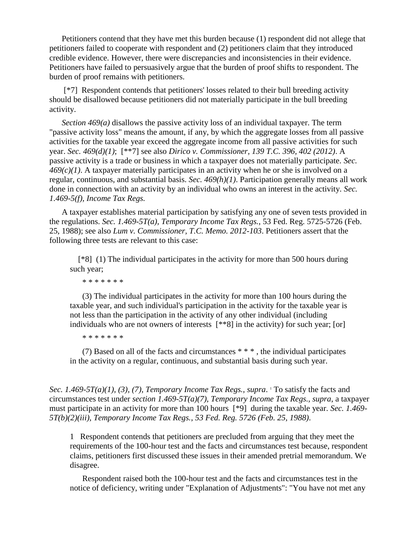Petitioners contend that they have met this burden because (1) respondent did not allege that petitioners failed to cooperate with respondent and (2) petitioners claim that they introduced credible evidence. However, there were discrepancies and inconsistencies in their evidence. Petitioners have failed to persuasively argue that the burden of proof shifts to respondent. The burden of proof remains with petitioners.

[\*7] Respondent contends that petitioners' losses related to their bull breeding activity should be disallowed because petitioners did not materially participate in the bull breeding activity.

*Section 469(a)* disallows the passive activity loss of an individual taxpayer. The term "passive activity loss" means the amount, if any, by which the aggregate losses from all passive activities for the taxable year exceed the aggregate income from all passive activities for such year. *Sec. 469(d)(1)*; [\*\*7] see also *Dirico v. Commissioner, 139 T.C. 396, 402 (2012)*. A passive activity is a trade or business in which a taxpayer does not materially participate. *Sec.*   $469(c)(1)$ . A taxpayer materially participates in an activity when he or she is involved on a regular, continuous, and substantial basis. *Sec. 469(h)(1)*. Participation generally means all work done in connection with an activity by an individual who owns an interest in the activity. *Sec. 1.469-5(f), Income Tax Regs.*

A taxpayer establishes material participation by satisfying any one of seven tests provided in the regulations. *Sec. 1.469-5T(a), Temporary Income Tax Regs.*, 53 Fed. Reg. 5725-5726 (Feb. 25, 1988); see also *Lum v. Commissioner, T.C. Memo. 2012-103*. Petitioners assert that the following three tests are relevant to this case:

 [\*8] (1) The individual participates in the activity for more than 500 hours during such year;

\* \* \* \* \* \* \*

(3) The individual participates in the activity for more than 100 hours during the taxable year, and such individual's participation in the activity for the taxable year is not less than the participation in the activity of any other individual (including individuals who are not owners of interests [\*\*8] in the activity) for such year; [or]

\* \* \* \* \* \* \*

(7) Based on all of the facts and circumstances \* \* \* , the individual participates in the activity on a regular, continuous, and substantial basis during such year.

Sec. 1.469-5T(a)(1), (3), (7), Temporary Income Tax Regs., supra. <sup>1</sup> To satisfy the facts and circumstances test under *section 1.469-5T(a)(7), Temporary Income Tax Regs., supra*, a taxpayer must participate in an activity for more than 100 hours [\*9] during the taxable year. *Sec. 1.469- 5T(b)(2)(iii), Temporary Income Tax Regs.*, *53 Fed. Reg. 5726 (Feb. 25, 1988)*.

1 Respondent contends that petitioners are precluded from arguing that they meet the requirements of the 100-hour test and the facts and circumstances test because, respondent claims, petitioners first discussed these issues in their amended pretrial memorandum. We disagree.

Respondent raised both the 100-hour test and the facts and circumstances test in the notice of deficiency, writing under "Explanation of Adjustments": "You have not met any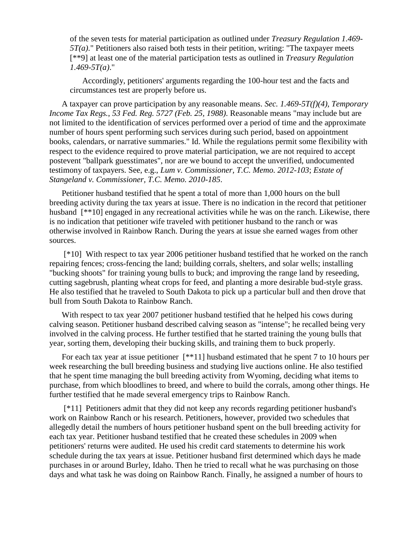of the seven tests for material participation as outlined under *Treasury Regulation 1.469- 5T(a)*." Petitioners also raised both tests in their petition, writing: "The taxpayer meets [\*\*9] at least one of the material participation tests as outlined in *Treasury Regulation 1.469-5T(a)*."

Accordingly, petitioners' arguments regarding the 100-hour test and the facts and circumstances test are properly before us.

A taxpayer can prove participation by any reasonable means. *Sec. 1.469-5T(f)(4), Temporary Income Tax Regs.*, *53 Fed. Reg. 5727 (Feb. 25, 1988)*. Reasonable means "may include but are not limited to the identification of services performed over a period of time and the approximate number of hours spent performing such services during such period, based on appointment books, calendars, or narrative summaries." Id. While the regulations permit some flexibility with respect to the evidence required to prove material participation, we are not required to accept postevent "ballpark guesstimates", nor are we bound to accept the unverified, undocumented testimony of taxpayers. See, e.g., *Lum v. Commissioner, T.C. Memo. 2012-103*; *Estate of Stangeland v. Commissioner, T.C. Memo. 2010-185*.

Petitioner husband testified that he spent a total of more than 1,000 hours on the bull breeding activity during the tax years at issue. There is no indication in the record that petitioner husband [\*\*10] engaged in any recreational activities while he was on the ranch. Likewise, there is no indication that petitioner wife traveled with petitioner husband to the ranch or was otherwise involved in Rainbow Ranch. During the years at issue she earned wages from other sources.

[\*10] With respect to tax year 2006 petitioner husband testified that he worked on the ranch repairing fences; cross-fencing the land; building corrals, shelters, and solar wells; installing "bucking shoots" for training young bulls to buck; and improving the range land by reseeding, cutting sagebrush, planting wheat crops for feed, and planting a more desirable bud-style grass. He also testified that he traveled to South Dakota to pick up a particular bull and then drove that bull from South Dakota to Rainbow Ranch.

With respect to tax year 2007 petitioner husband testified that he helped his cows during calving season. Petitioner husband described calving season as "intense"; he recalled being very involved in the calving process. He further testified that he started training the young bulls that year, sorting them, developing their bucking skills, and training them to buck properly.

For each tax year at issue petitioner  $[**11]$  husband estimated that he spent 7 to 10 hours per week researching the bull breeding business and studying live auctions online. He also testified that he spent time managing the bull breeding activity from Wyoming, deciding what items to purchase, from which bloodlines to breed, and where to build the corrals, among other things. He further testified that he made several emergency trips to Rainbow Ranch.

[\*11] Petitioners admit that they did not keep any records regarding petitioner husband's work on Rainbow Ranch or his research. Petitioners, however, provided two schedules that allegedly detail the numbers of hours petitioner husband spent on the bull breeding activity for each tax year. Petitioner husband testified that he created these schedules in 2009 when petitioners' returns were audited. He used his credit card statements to determine his work schedule during the tax years at issue. Petitioner husband first determined which days he made purchases in or around Burley, Idaho. Then he tried to recall what he was purchasing on those days and what task he was doing on Rainbow Ranch. Finally, he assigned a number of hours to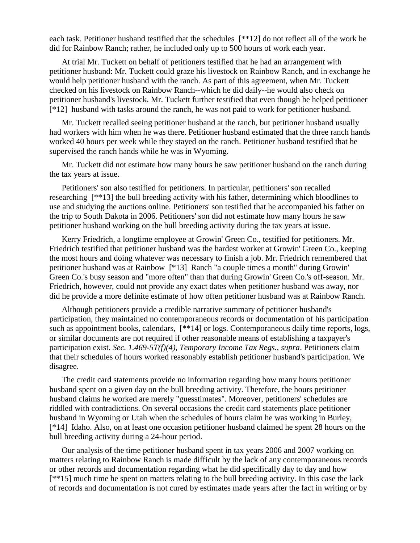each task. Petitioner husband testified that the schedules [\*\*12] do not reflect all of the work he did for Rainbow Ranch; rather, he included only up to 500 hours of work each year.

At trial Mr. Tuckett on behalf of petitioners testified that he had an arrangement with petitioner husband: Mr. Tuckett could graze his livestock on Rainbow Ranch, and in exchange he would help petitioner husband with the ranch. As part of this agreement, when Mr. Tuckett checked on his livestock on Rainbow Ranch--which he did daily--he would also check on petitioner husband's livestock. Mr. Tuckett further testified that even though he helped petitioner [\*12] husband with tasks around the ranch, he was not paid to work for petitioner husband.

Mr. Tuckett recalled seeing petitioner husband at the ranch, but petitioner husband usually had workers with him when he was there. Petitioner husband estimated that the three ranch hands worked 40 hours per week while they stayed on the ranch. Petitioner husband testified that he supervised the ranch hands while he was in Wyoming.

Mr. Tuckett did not estimate how many hours he saw petitioner husband on the ranch during the tax years at issue.

Petitioners' son also testified for petitioners. In particular, petitioners' son recalled researching [\*\*13] the bull breeding activity with his father, determining which bloodlines to use and studying the auctions online. Petitioners' son testified that he accompanied his father on the trip to South Dakota in 2006. Petitioners' son did not estimate how many hours he saw petitioner husband working on the bull breeding activity during the tax years at issue.

Kerry Friedrich, a longtime employee at Growin' Green Co., testified for petitioners. Mr. Friedrich testified that petitioner husband was the hardest worker at Growin' Green Co., keeping the most hours and doing whatever was necessary to finish a job. Mr. Friedrich remembered that petitioner husband was at Rainbow [\*13] Ranch "a couple times a month" during Growin' Green Co.'s busy season and "more often" than that during Growin' Green Co.'s off-season. Mr. Friedrich, however, could not provide any exact dates when petitioner husband was away, nor did he provide a more definite estimate of how often petitioner husband was at Rainbow Ranch.

Although petitioners provide a credible narrative summary of petitioner husband's participation, they maintained no contemporaneous records or documentation of his participation such as appointment books, calendars, [\*\*14] or logs. Contemporaneous daily time reports, logs, or similar documents are not required if other reasonable means of establishing a taxpayer's participation exist. *Sec. 1.469-5T(f)(4), Temporary Income Tax Regs., supra*. Petitioners claim that their schedules of hours worked reasonably establish petitioner husband's participation. We disagree.

The credit card statements provide no information regarding how many hours petitioner husband spent on a given day on the bull breeding activity. Therefore, the hours petitioner husband claims he worked are merely "guesstimates". Moreover, petitioners' schedules are riddled with contradictions. On several occasions the credit card statements place petitioner husband in Wyoming or Utah when the schedules of hours claim he was working in Burley, [\*14] Idaho. Also, on at least one occasion petitioner husband claimed he spent 28 hours on the bull breeding activity during a 24-hour period.

Our analysis of the time petitioner husband spent in tax years 2006 and 2007 working on matters relating to Rainbow Ranch is made difficult by the lack of any contemporaneous records or other records and documentation regarding what he did specifically day to day and how [\*\*15] much time he spent on matters relating to the bull breeding activity. In this case the lack of records and documentation is not cured by estimates made years after the fact in writing or by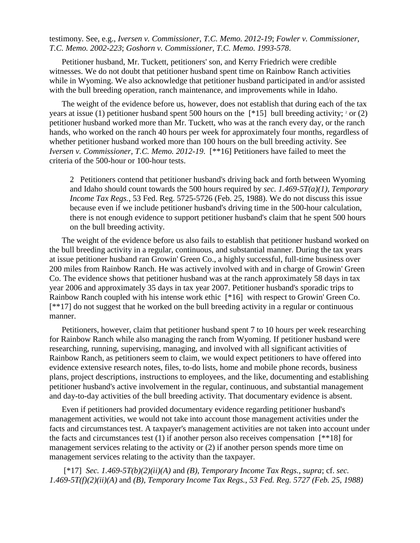### testimony. See, e.g., *Iversen v. Commissioner, T.C. Memo. 2012-19*; *Fowler v. Commissioner, T.C. Memo. 2002-223*; *Goshorn v. Commissioner, T.C. Memo. 1993-578*.

Petitioner husband, Mr. Tuckett, petitioners' son, and Kerry Friedrich were credible witnesses. We do not doubt that petitioner husband spent time on Rainbow Ranch activities while in Wyoming. We also acknowledge that petitioner husband participated in and/or assisted with the bull breeding operation, ranch maintenance, and improvements while in Idaho.

The weight of the evidence before us, however, does not establish that during each of the tax years at issue (1) petitioner husband spent 500 hours on the  $[*15]$  bull breeding activity; <sup>2</sup> or (2) petitioner husband worked more than Mr. Tuckett, who was at the ranch every day, or the ranch hands, who worked on the ranch 40 hours per week for approximately four months, regardless of whether petitioner husband worked more than 100 hours on the bull breeding activity. See *Iversen v. Commissioner, T.C. Memo. 2012-19*. [\*\*16] Petitioners have failed to meet the criteria of the 500-hour or 100-hour tests.

2 Petitioners contend that petitioner husband's driving back and forth between Wyoming and Idaho should count towards the 500 hours required by *sec. 1.469-5T(a)(1), Temporary Income Tax Regs.*, 53 Fed. Reg. 5725-5726 (Feb. 25, 1988). We do not discuss this issue because even if we include petitioner husband's driving time in the 500-hour calculation, there is not enough evidence to support petitioner husband's claim that he spent 500 hours on the bull breeding activity.

The weight of the evidence before us also fails to establish that petitioner husband worked on the bull breeding activity in a regular, continuous, and substantial manner. During the tax years at issue petitioner husband ran Growin' Green Co., a highly successful, full-time business over 200 miles from Rainbow Ranch. He was actively involved with and in charge of Growin' Green Co. The evidence shows that petitioner husband was at the ranch approximately 58 days in tax year 2006 and approximately 35 days in tax year 2007. Petitioner husband's sporadic trips to Rainbow Ranch coupled with his intense work ethic [\*16] with respect to Growin' Green Co. [\*\*17] do not suggest that he worked on the bull breeding activity in a regular or continuous manner.

Petitioners, however, claim that petitioner husband spent 7 to 10 hours per week researching for Rainbow Ranch while also managing the ranch from Wyoming. If petitioner husband were researching, running, supervising, managing, and involved with all significant activities of Rainbow Ranch, as petitioners seem to claim, we would expect petitioners to have offered into evidence extensive research notes, files, to-do lists, home and mobile phone records, business plans, project descriptions, instructions to employees, and the like, documenting and establishing petitioner husband's active involvement in the regular, continuous, and substantial management and day-to-day activities of the bull breeding activity. That documentary evidence is absent.

Even if petitioners had provided documentary evidence regarding petitioner husband's management activities, we would not take into account those management activities under the facts and circumstances test. A taxpayer's management activities are not taken into account under the facts and circumstances test (1) if another person also receives compensation [\*\*18] for management services relating to the activity or (2) if another person spends more time on management services relating to the activity than the taxpayer.

[\*17] *Sec. 1.469-5T(b)(2)(ii)(A)* and *(B), Temporary Income Tax Regs., supra*; cf. *sec. 1.469-5T(f)(2)(ii)(A)* and *(B), Temporary Income Tax Regs.*, *53 Fed. Reg. 5727 (Feb. 25, 1988)*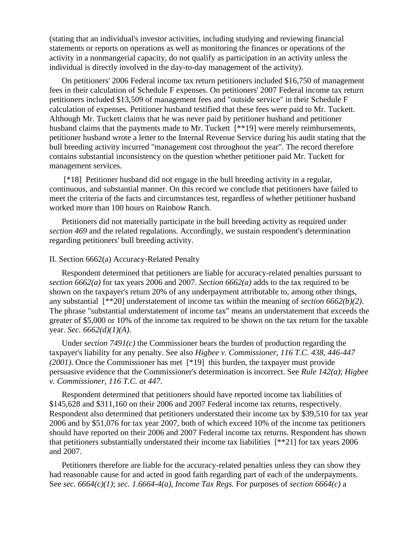(stating that an individual's investor activities, including studying and reviewing financial statements or reports on operations as well as monitoring the finances or operations of the activity in a nonmangerial capacity, do not qualify as participation in an activity unless the individual is directly involved in the day-to-day management of the activity).

On petitioners' 2006 Federal income tax return petitioners included \$16,750 of management fees in their calculation of Schedule F expenses. On petitioners' 2007 Federal income tax return petitioners included \$13,509 of management fees and "outside service" in their Schedule F calculation of expenses. Petitioner husband testified that these fees were paid to Mr. Tuckett. Although Mr. Tuckett claims that he was never paid by petitioner husband and petitioner husband claims that the payments made to Mr. Tuckett [\*\*19] were merely reimbursements, petitioner husband wrote a letter to the Internal Revenue Service during his audit stating that the bull breeding activity incurred "management cost throughout the year". The record therefore contains substantial inconsistency on the question whether petitioner paid Mr. Tuckett for management services.

[\*18] Petitioner husband did not engage in the bull breeding activity in a regular, continuous, and substantial manner. On this record we conclude that petitioners have failed to meet the criteria of the facts and circumstances test, regardless of whether petitioner husband worked more than 100 hours on Rainbow Ranch.

Petitioners did not materially participate in the bull breeding activity as required under *section 469* and the related regulations. Accordingly, we sustain respondent's determination regarding petitioners' bull breeding activity.

#### II. Section 6662(a) Accuracy-Related Penalty

Respondent determined that petitioners are liable for accuracy-related penalties pursuant to *section 6662(a)* for tax years 2006 and 2007. *Section 6662(a)* adds to the tax required to be shown on the taxpayer's return 20% of any underpayment attributable to, among other things, any substantial [\*\*20] understatement of income tax within the meaning of *section 6662(b)(2)*. The phrase "substantial understatement of income tax" means an understatement that exceeds the greater of \$5,000 or 10% of the income tax required to be shown on the tax return for the taxable year. *Sec. 6662(d)(1)(A)*.

Under *section 7491(c)* the Commissioner bears the burden of production regarding the taxpayer's liability for any penalty. See also *Higbee v. Commissioner, 116 T.C. 438, 446-447 (2001)*. Once the Commissioner has met [\*19] this burden, the taxpayer must provide persuasive evidence that the Commissioner's determination is incorrect. See *Rule 142(a)*; *Higbee v. Commissioner, 116 T.C. at 447*.

Respondent determined that petitioners should have reported income tax liabilities of \$145,628 and \$311,160 on their 2006 and 2007 Federal income tax returns, respectively. Respondent also determined that petitioners understated their income tax by \$39,510 for tax year 2006 and by \$51,076 for tax year 2007, both of which exceed 10% of the income tax petitioners should have reported on their 2006 and 2007 Federal income tax returns. Respondent has shown that petitioners substantially understated their income tax liabilities [\*\*21] for tax years 2006 and 2007.

Petitioners therefore are liable for the accuracy-related penalties unless they can show they had reasonable cause for and acted in good faith regarding part of each of the underpayments. See *sec. 6664(c)(1)*; *sec. 1.6664-4(a), Income Tax Regs.* For purposes of *section 6664(c)* a